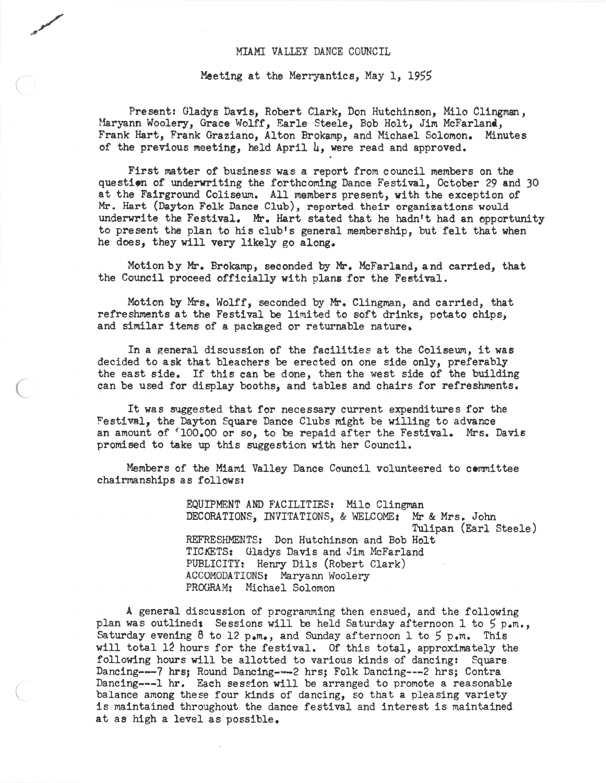## MIAMI VALLEY DANCE COUNCIL

## Meeting at the Merryantics, May 1, 1955

 $($ 

(

Present: Gladys Davis, Robert Clark, Don Hutchinson, Milo Clingman, Maryann Woolery, Grace Wolff, Earle Steele, Bob Holt, Jim McFarland, Frank Hart, Frank Graziano, Alton Brokamp, and Michael Solomon. Minutes of the previous meeting, held April  $\mu$ , were read and approved.

First matter of business was a report from council members on the question of underwriting the forthcoming Dance Festival, October 29 and 30 at the Fairground Coliseum. All members present, with the exception of Mr. Hart (Dayton Folk Dance Club), reported their organizations would underwrite the Festival. Mr. Hart stated that he hadn't had an opportunity to present the plan to his club's general membership, but felt that when he does, they will very likely go along.

Motion by Mr. Brokamp, seconded by Mr. McFarland, and carried, that the Council proceed officially with plans for the Festival.

Motion by Mrs. Wolff, seconded by Mr. Clingman, and carried, that refreshments at the Festival be limited to soft drinks, potato chips, and similar items of a packaged or returnable nature.

In <sup>a</sup> general discussion of the facilities at the Coliseum, it was decided to ask that bleachers be erected on one side only, preferably the east side. If this can be done, then the west side of the building can be used for display booths, and tables and chairs for refreshments.

It was suggested that for necessary current expenditures for the Festival, the Dayton Square Dance Clubs might be willing to advance an amount of '100.00 or so, to be repaid after the Festival. Mrs. Davis promised to take up this suggestion with her Council.

Members of the Miami Valley Dance Council volunteered to committee chairmanships as follows:

> EQUIPMENT AND FACILITIES: Milo Clingman DECORATIONS, INVITATIONS, & WELCOME: Mr & Mrs. John Tulipan (Earl Steele) REFRESHMENTS: Don Hutchinson and Bob Holt TICKETS: Gladys Davis and Jim McFarland PUBLICITY: Henry Dils (Robert Clark) ACCOMODATIONSt Maryann Woolery PROGRAM: Michael Solomon

A general discussion of programming then ensued, and the following plan was outlined: Sessions will be held Saturday afternoon 1 to 5 p.m., Saturday evening 8 to 12  $p_{\bullet}m_{\bullet}$ , and Sunday afternoon 1 to 5  $p_{\bullet}m_{\bullet}$ . This will total 12 hours for the festival. Of this total, approximately the following hours will be allotted to various kinds of dancing: Square Dancing---7 hrs; Round Dancing---2 hrs; Folk Dancing---2 hrs; Contra Dancing---l hr. Each session will be arranged to promote <sup>a</sup> reasonable balance among these four kinds of dancing, so that <sup>a</sup> pleasing variety is maintained throughout the dance festival and interest is maintained at as high <sup>a</sup> level as possible.